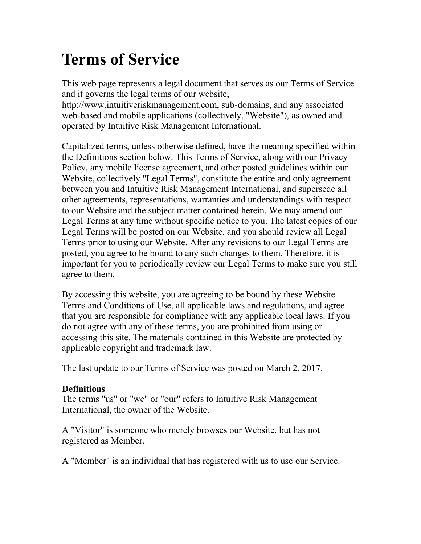# **Terms of Service**

This web page represents a legal document that serves as our Terms of Service and it governs the legal terms of our website,

http://www.intuitiveriskmanagement.com, sub-domains, and any associated web-based and mobile applications (collectively, "Website"), as owned and operated by Intuitive Risk Management International.

Capitalized terms, unless otherwise defined, have the meaning specified within the Definitions section below. This Terms of Service, along with our Privacy Policy, any mobile license agreement, and other posted guidelines within our Website, collectively "Legal Terms", constitute the entire and only agreement between you and Intuitive Risk Management International, and supersede all other agreements, representations, warranties and understandings with respect to our Website and the subject matter contained herein. We may amend our Legal Terms at any time without specific notice to you. The latest copies of our Legal Terms will be posted on our Website, and you should review all Legal Terms prior to using our Website. After any revisions to our Legal Terms are posted, you agree to be bound to any such changes to them. Therefore, it is important for you to periodically review our Legal Terms to make sure you still agree to them.

By accessing this website, you are agreeing to be bound by these Website Terms and Conditions of Use, all applicable laws and regulations, and agree that you are responsible for compliance with any applicable local laws. If you do not agree with any of these terms, you are prohibited from using or accessing this site. The materials contained in this Website are protected by applicable copyright and trademark law.

The last update to our Terms of Service was posted on March 2, 2017.

# **Definitions**

The terms "us" or "we" or "our" refers to Intuitive Risk Management International, the owner of the Website.

A "Visitor" is someone who merely browses our Website, but has not registered as Member.

A "Member" is an individual that has registered with us to use our Service.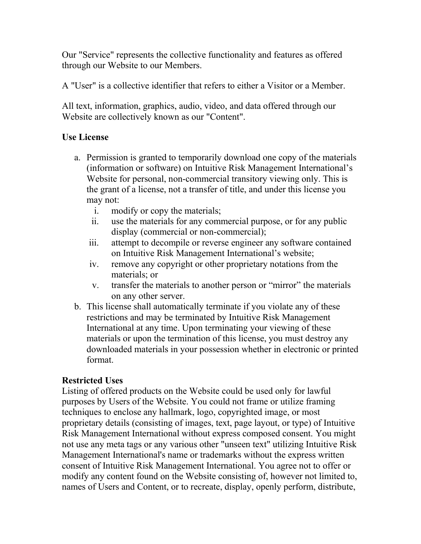Our "Service" represents the collective functionality and features as offered through our Website to our Members.

A "User" is a collective identifier that refers to either a Visitor or a Member.

All text, information, graphics, audio, video, and data offered through our Website are collectively known as our "Content".

# **Use License**

- a. Permission is granted to temporarily download one copy of the materials (information or software) on Intuitive Risk Management International's Website for personal, non-commercial transitory viewing only. This is the grant of a license, not a transfer of title, and under this license you may not:
	- i. modify or copy the materials;
	- ii. use the materials for any commercial purpose, or for any public display (commercial or non-commercial);
	- iii. attempt to decompile or reverse engineer any software contained on Intuitive Risk Management International's website;
	- iv. remove any copyright or other proprietary notations from the materials; or
	- v. transfer the materials to another person or "mirror" the materials on any other server.
- b. This license shall automatically terminate if you violate any of these restrictions and may be terminated by Intuitive Risk Management International at any time. Upon terminating your viewing of these materials or upon the termination of this license, you must destroy any downloaded materials in your possession whether in electronic or printed format.

# **Restricted Uses**

Listing of offered products on the Website could be used only for lawful purposes by Users of the Website. You could not frame or utilize framing techniques to enclose any hallmark, logo, copyrighted image, or most proprietary details (consisting of images, text, page layout, or type) of Intuitive Risk Management International without express composed consent. You might not use any meta tags or any various other "unseen text" utilizing Intuitive Risk Management International's name or trademarks without the express written consent of Intuitive Risk Management International. You agree not to offer or modify any content found on the Website consisting of, however not limited to, names of Users and Content, or to recreate, display, openly perform, distribute,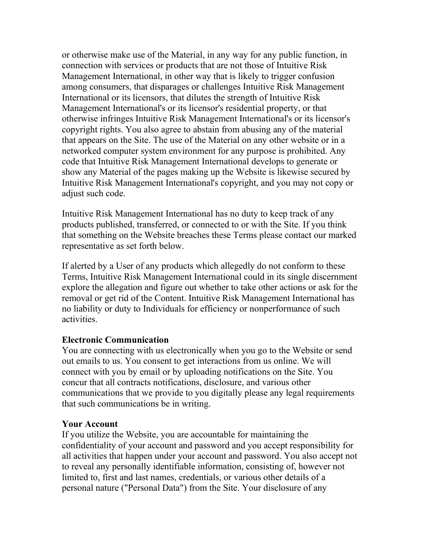or otherwise make use of the Material, in any way for any public function, in connection with services or products that are not those of Intuitive Risk Management International, in other way that is likely to trigger confusion among consumers, that disparages or challenges Intuitive Risk Management International or its licensors, that dilutes the strength of Intuitive Risk Management International's or its licensor's residential property, or that otherwise infringes Intuitive Risk Management International's or its licensor's copyright rights. You also agree to abstain from abusing any of the material that appears on the Site. The use of the Material on any other website or in a networked computer system environment for any purpose is prohibited. Any code that Intuitive Risk Management International develops to generate or show any Material of the pages making up the Website is likewise secured by Intuitive Risk Management International's copyright, and you may not copy or adjust such code.

Intuitive Risk Management International has no duty to keep track of any products published, transferred, or connected to or with the Site. If you think that something on the Website breaches these Terms please contact our marked representative as set forth below.

If alerted by a User of any products which allegedly do not conform to these Terms, Intuitive Risk Management International could in its single discernment explore the allegation and figure out whether to take other actions or ask for the removal or get rid of the Content. Intuitive Risk Management International has no liability or duty to Individuals for efficiency or nonperformance of such activities.

#### **Electronic Communication**

You are connecting with us electronically when you go to the Website or send out emails to us. You consent to get interactions from us online. We will connect with you by email or by uploading notifications on the Site. You concur that all contracts notifications, disclosure, and various other communications that we provide to you digitally please any legal requirements that such communications be in writing.

#### **Your Account**

If you utilize the Website, you are accountable for maintaining the confidentiality of your account and password and you accept responsibility for all activities that happen under your account and password. You also accept not to reveal any personally identifiable information, consisting of, however not limited to, first and last names, credentials, or various other details of a personal nature ("Personal Data") from the Site. Your disclosure of any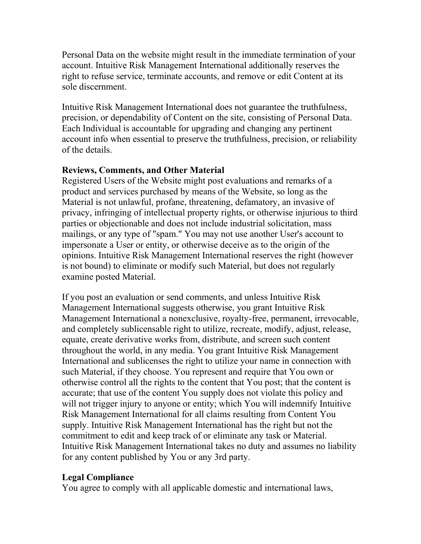Personal Data on the website might result in the immediate termination of your account. Intuitive Risk Management International additionally reserves the right to refuse service, terminate accounts, and remove or edit Content at its sole discernment.

Intuitive Risk Management International does not guarantee the truthfulness, precision, or dependability of Content on the site, consisting of Personal Data. Each Individual is accountable for upgrading and changing any pertinent account info when essential to preserve the truthfulness, precision, or reliability of the details.

#### **Reviews, Comments, and Other Material**

Registered Users of the Website might post evaluations and remarks of a product and services purchased by means of the Website, so long as the Material is not unlawful, profane, threatening, defamatory, an invasive of privacy, infringing of intellectual property rights, or otherwise injurious to third parties or objectionable and does not include industrial solicitation, mass mailings, or any type of "spam." You may not use another User's account to impersonate a User or entity, or otherwise deceive as to the origin of the opinions. Intuitive Risk Management International reserves the right (however is not bound) to eliminate or modify such Material, but does not regularly examine posted Material.

If you post an evaluation or send comments, and unless Intuitive Risk Management International suggests otherwise, you grant Intuitive Risk Management International a nonexclusive, royalty-free, permanent, irrevocable, and completely sublicensable right to utilize, recreate, modify, adjust, release, equate, create derivative works from, distribute, and screen such content throughout the world, in any media. You grant Intuitive Risk Management International and sublicenses the right to utilize your name in connection with such Material, if they choose. You represent and require that You own or otherwise control all the rights to the content that You post; that the content is accurate; that use of the content You supply does not violate this policy and will not trigger injury to anyone or entity; which You will indemnify Intuitive Risk Management International for all claims resulting from Content You supply. Intuitive Risk Management International has the right but not the commitment to edit and keep track of or eliminate any task or Material. Intuitive Risk Management International takes no duty and assumes no liability for any content published by You or any 3rd party.

## **Legal Compliance**

You agree to comply with all applicable domestic and international laws,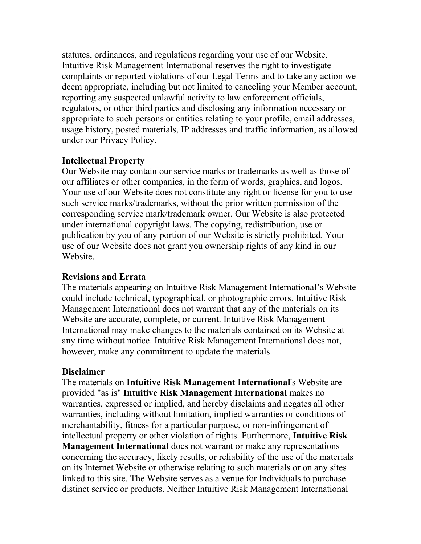statutes, ordinances, and regulations regarding your use of our Website. Intuitive Risk Management International reserves the right to investigate complaints or reported violations of our Legal Terms and to take any action we deem appropriate, including but not limited to canceling your Member account, reporting any suspected unlawful activity to law enforcement officials, regulators, or other third parties and disclosing any information necessary or appropriate to such persons or entities relating to your profile, email addresses, usage history, posted materials, IP addresses and traffic information, as allowed under our Privacy Policy.

#### **Intellectual Property**

Our Website may contain our service marks or trademarks as well as those of our affiliates or other companies, in the form of words, graphics, and logos. Your use of our Website does not constitute any right or license for you to use such service marks/trademarks, without the prior written permission of the corresponding service mark/trademark owner. Our Website is also protected under international copyright laws. The copying, redistribution, use or publication by you of any portion of our Website is strictly prohibited. Your use of our Website does not grant you ownership rights of any kind in our Website.

#### **Revisions and Errata**

The materials appearing on Intuitive Risk Management International's Website could include technical, typographical, or photographic errors. Intuitive Risk Management International does not warrant that any of the materials on its Website are accurate, complete, or current. Intuitive Risk Management International may make changes to the materials contained on its Website at any time without notice. Intuitive Risk Management International does not, however, make any commitment to update the materials.

#### **Disclaimer**

The materials on **Intuitive Risk Management International**'s Website are provided "as is" **Intuitive Risk Management International** makes no warranties, expressed or implied, and hereby disclaims and negates all other warranties, including without limitation, implied warranties or conditions of merchantability, fitness for a particular purpose, or non-infringement of intellectual property or other violation of rights. Furthermore, **Intuitive Risk Management International** does not warrant or make any representations concerning the accuracy, likely results, or reliability of the use of the materials on its Internet Website or otherwise relating to such materials or on any sites linked to this site. The Website serves as a venue for Individuals to purchase distinct service or products. Neither Intuitive Risk Management International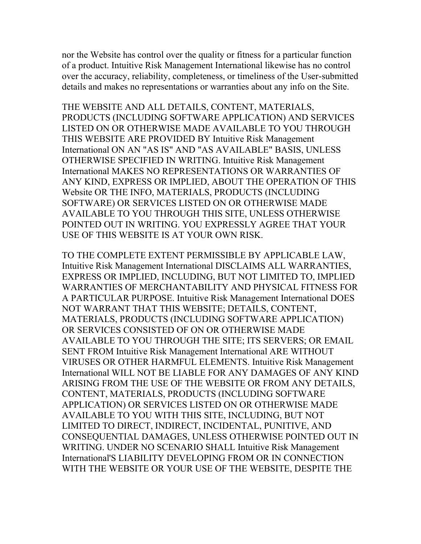nor the Website has control over the quality or fitness for a particular function of a product. Intuitive Risk Management International likewise has no control over the accuracy, reliability, completeness, or timeliness of the User-submitted details and makes no representations or warranties about any info on the Site.

THE WEBSITE AND ALL DETAILS, CONTENT, MATERIALS, PRODUCTS (INCLUDING SOFTWARE APPLICATION) AND SERVICES LISTED ON OR OTHERWISE MADE AVAILABLE TO YOU THROUGH THIS WEBSITE ARE PROVIDED BY Intuitive Risk Management International ON AN "AS IS" AND "AS AVAILABLE" BASIS, UNLESS OTHERWISE SPECIFIED IN WRITING. Intuitive Risk Management International MAKES NO REPRESENTATIONS OR WARRANTIES OF ANY KIND, EXPRESS OR IMPLIED, ABOUT THE OPERATION OF THIS Website OR THE INFO, MATERIALS, PRODUCTS (INCLUDING SOFTWARE) OR SERVICES LISTED ON OR OTHERWISE MADE AVAILABLE TO YOU THROUGH THIS SITE, UNLESS OTHERWISE POINTED OUT IN WRITING. YOU EXPRESSLY AGREE THAT YOUR USE OF THIS WEBSITE IS AT YOUR OWN RISK.

TO THE COMPLETE EXTENT PERMISSIBLE BY APPLICABLE LAW, Intuitive Risk Management International DISCLAIMS ALL WARRANTIES, EXPRESS OR IMPLIED, INCLUDING, BUT NOT LIMITED TO, IMPLIED WARRANTIES OF MERCHANTABILITY AND PHYSICAL FITNESS FOR A PARTICULAR PURPOSE. Intuitive Risk Management International DOES NOT WARRANT THAT THIS WEBSITE; DETAILS, CONTENT, MATERIALS, PRODUCTS (INCLUDING SOFTWARE APPLICATION) OR SERVICES CONSISTED OF ON OR OTHERWISE MADE AVAILABLE TO YOU THROUGH THE SITE; ITS SERVERS; OR EMAIL SENT FROM Intuitive Risk Management International ARE WITHOUT VIRUSES OR OTHER HARMFUL ELEMENTS. Intuitive Risk Management International WILL NOT BE LIABLE FOR ANY DAMAGES OF ANY KIND ARISING FROM THE USE OF THE WEBSITE OR FROM ANY DETAILS, CONTENT, MATERIALS, PRODUCTS (INCLUDING SOFTWARE APPLICATION) OR SERVICES LISTED ON OR OTHERWISE MADE AVAILABLE TO YOU WITH THIS SITE, INCLUDING, BUT NOT LIMITED TO DIRECT, INDIRECT, INCIDENTAL, PUNITIVE, AND CONSEQUENTIAL DAMAGES, UNLESS OTHERWISE POINTED OUT IN WRITING. UNDER NO SCENARIO SHALL Intuitive Risk Management International'S LIABILITY DEVELOPING FROM OR IN CONNECTION WITH THE WEBSITE OR YOUR USE OF THE WEBSITE, DESPITE THE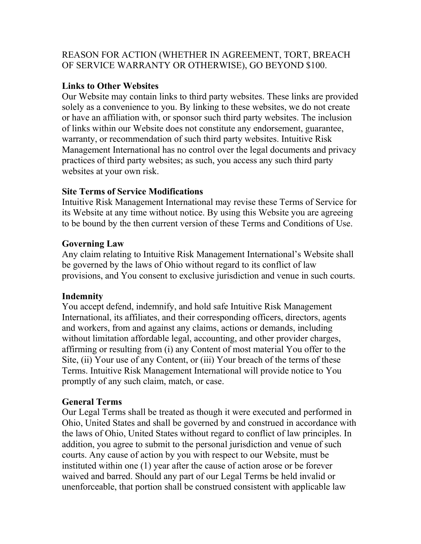## REASON FOR ACTION (WHETHER IN AGREEMENT, TORT, BREACH OF SERVICE WARRANTY OR OTHERWISE), GO BEYOND \$100.

# **Links to Other Websites**

Our Website may contain links to third party websites. These links are provided solely as a convenience to you. By linking to these websites, we do not create or have an affiliation with, or sponsor such third party websites. The inclusion of links within our Website does not constitute any endorsement, guarantee, warranty, or recommendation of such third party websites. Intuitive Risk Management International has no control over the legal documents and privacy practices of third party websites; as such, you access any such third party websites at your own risk.

## **Site Terms of Service Modifications**

Intuitive Risk Management International may revise these Terms of Service for its Website at any time without notice. By using this Website you are agreeing to be bound by the then current version of these Terms and Conditions of Use.

## **Governing Law**

Any claim relating to Intuitive Risk Management International's Website shall be governed by the laws of Ohio without regard to its conflict of law provisions, and You consent to exclusive jurisdiction and venue in such courts.

## **Indemnity**

You accept defend, indemnify, and hold safe Intuitive Risk Management International, its affiliates, and their corresponding officers, directors, agents and workers, from and against any claims, actions or demands, including without limitation affordable legal, accounting, and other provider charges, affirming or resulting from (i) any Content of most material You offer to the Site, (ii) Your use of any Content, or (iii) Your breach of the terms of these Terms. Intuitive Risk Management International will provide notice to You promptly of any such claim, match, or case.

# **General Terms**

Our Legal Terms shall be treated as though it were executed and performed in Ohio, United States and shall be governed by and construed in accordance with the laws of Ohio, United States without regard to conflict of law principles. In addition, you agree to submit to the personal jurisdiction and venue of such courts. Any cause of action by you with respect to our Website, must be instituted within one (1) year after the cause of action arose or be forever waived and barred. Should any part of our Legal Terms be held invalid or unenforceable, that portion shall be construed consistent with applicable law